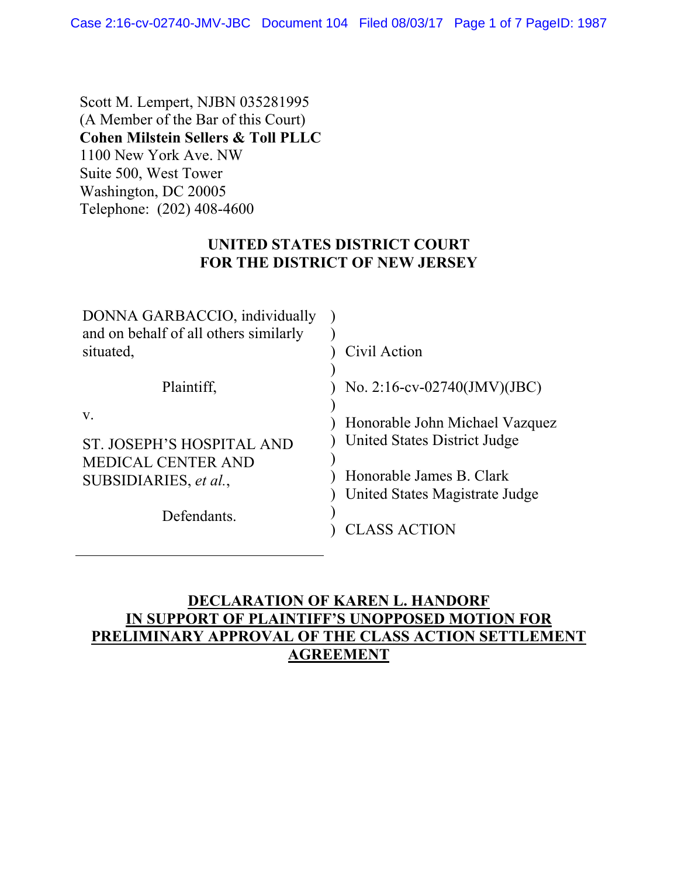Scott M. Lempert, NJBN 035281995 (A Member of the Bar of this Court) **Cohen Milstein Sellers & Toll PLLC** 1100 New York Ave. NW Suite 500, West Tower Washington, DC 20005 Telephone: (202) 408-4600

## **UNITED STATES DISTRICT COURT FOR THE DISTRICT OF NEW JERSEY**

| DONNA GARBACCIO, individually<br>and on behalf of all others similarly |                                                                |
|------------------------------------------------------------------------|----------------------------------------------------------------|
| situated,                                                              | Civil Action                                                   |
| Plaintiff,                                                             | No. 2:16-cv-02740(JMV)(JBC)                                    |
| V.<br>ST. JOSEPH'S HOSPITAL AND                                        | Honorable John Michael Vazquez<br>United States District Judge |
| <b>MEDICAL CENTER AND</b>                                              |                                                                |
| SUBSIDIARIES, et al.,                                                  | Honorable James B. Clark<br>United States Magistrate Judge     |
| Defendants.                                                            | <b>CLASS ACTION</b>                                            |

## **DECLARATION OF KAREN L. HANDORF IN SUPPORT OF PLAINTIFF'S UNOPPOSED MOTION FOR PRELIMINARY APPROVAL OF THE CLASS ACTION SETTLEMENT AGREEMENT**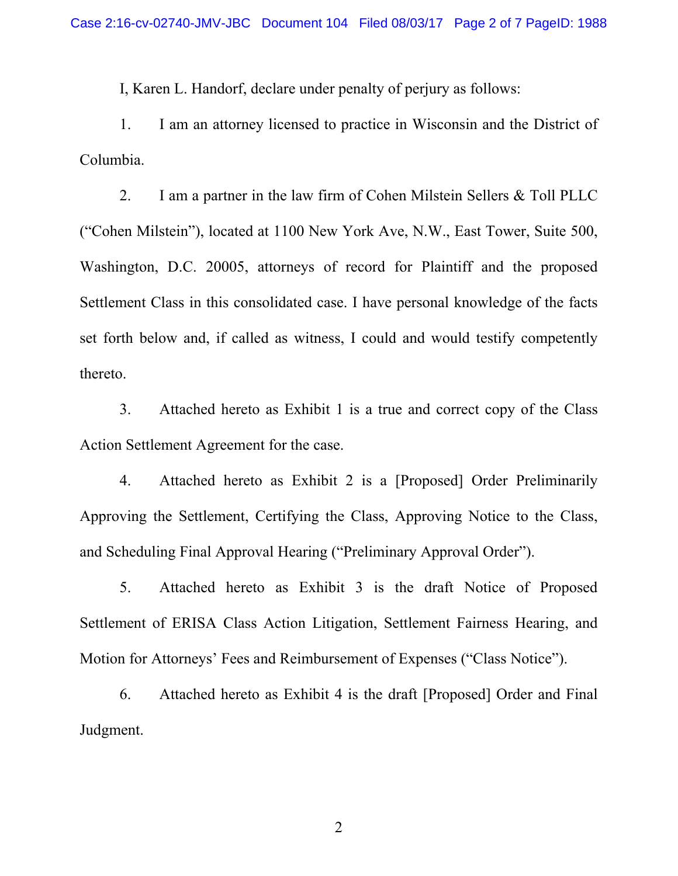I, Karen L. Handorf, declare under penalty of perjury as follows:

1. I am an attorney licensed to practice in Wisconsin and the District of Columbia.

2. I am a partner in the law firm of Cohen Milstein Sellers & Toll PLLC ("Cohen Milstein"), located at 1100 New York Ave, N.W., East Tower, Suite 500, Washington, D.C. 20005, attorneys of record for Plaintiff and the proposed Settlement Class in this consolidated case. I have personal knowledge of the facts set forth below and, if called as witness, I could and would testify competently thereto.

3. Attached hereto as Exhibit 1 is a true and correct copy of the Class Action Settlement Agreement for the case.

4. Attached hereto as Exhibit 2 is a [Proposed] Order Preliminarily Approving the Settlement, Certifying the Class, Approving Notice to the Class, and Scheduling Final Approval Hearing ("Preliminary Approval Order").

5. Attached hereto as Exhibit 3 is the draft Notice of Proposed Settlement of ERISA Class Action Litigation, Settlement Fairness Hearing, and Motion for Attorneys' Fees and Reimbursement of Expenses ("Class Notice").

6. Attached hereto as Exhibit 4 is the draft [Proposed] Order and Final Judgment.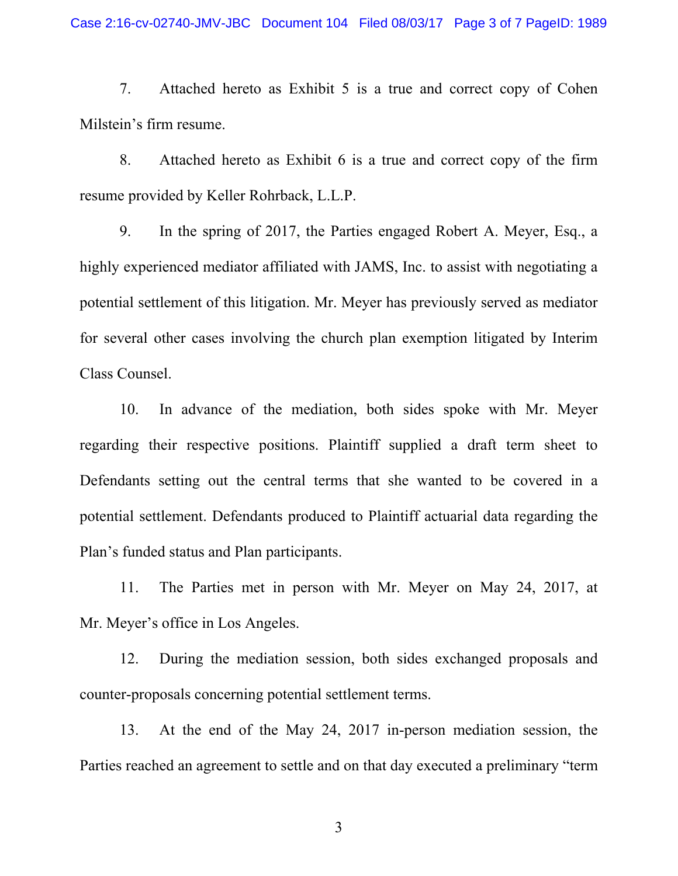7. Attached hereto as Exhibit 5 is a true and correct copy of Cohen Milstein's firm resume.

8. Attached hereto as Exhibit 6 is a true and correct copy of the firm resume provided by Keller Rohrback, L.L.P.

9. In the spring of 2017, the Parties engaged Robert A. Meyer, Esq., a highly experienced mediator affiliated with JAMS, Inc. to assist with negotiating a potential settlement of this litigation. Mr. Meyer has previously served as mediator for several other cases involving the church plan exemption litigated by Interim Class Counsel.

10. In advance of the mediation, both sides spoke with Mr. Meyer regarding their respective positions. Plaintiff supplied a draft term sheet to Defendants setting out the central terms that she wanted to be covered in a potential settlement. Defendants produced to Plaintiff actuarial data regarding the Plan's funded status and Plan participants.

11. The Parties met in person with Mr. Meyer on May 24, 2017, at Mr. Meyer's office in Los Angeles.

12. During the mediation session, both sides exchanged proposals and counter-proposals concerning potential settlement terms.

13. At the end of the May 24, 2017 in-person mediation session, the Parties reached an agreement to settle and on that day executed a preliminary "term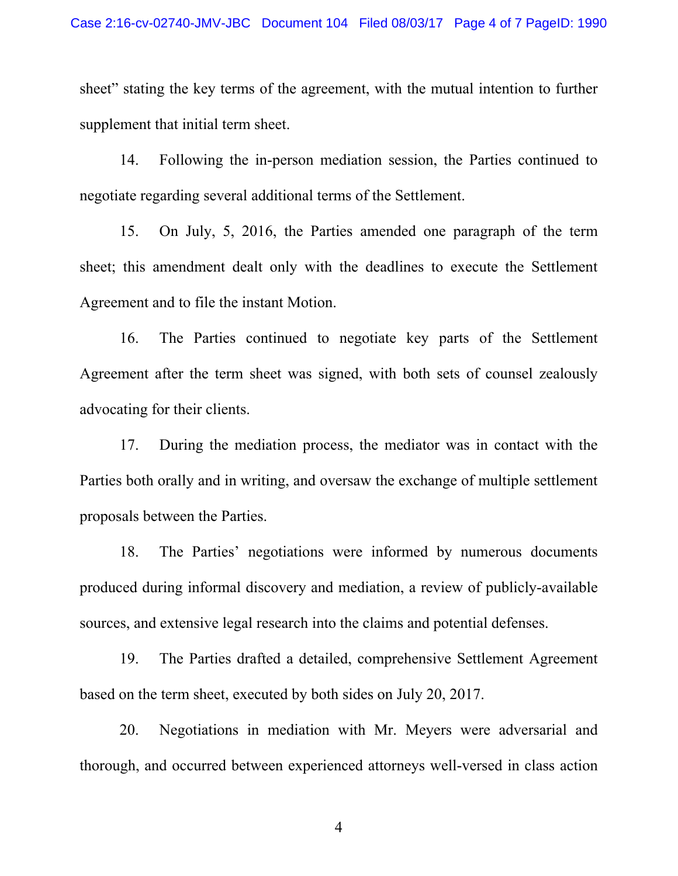sheet" stating the key terms of the agreement, with the mutual intention to further supplement that initial term sheet.

14. Following the in-person mediation session, the Parties continued to negotiate regarding several additional terms of the Settlement.

15. On July, 5, 2016, the Parties amended one paragraph of the term sheet; this amendment dealt only with the deadlines to execute the Settlement Agreement and to file the instant Motion.

16. The Parties continued to negotiate key parts of the Settlement Agreement after the term sheet was signed, with both sets of counsel zealously advocating for their clients.

17. During the mediation process, the mediator was in contact with the Parties both orally and in writing, and oversaw the exchange of multiple settlement proposals between the Parties.

18. The Parties' negotiations were informed by numerous documents produced during informal discovery and mediation, a review of publicly-available sources, and extensive legal research into the claims and potential defenses.

19. The Parties drafted a detailed, comprehensive Settlement Agreement based on the term sheet, executed by both sides on July 20, 2017.

20. Negotiations in mediation with Mr. Meyers were adversarial and thorough, and occurred between experienced attorneys well-versed in class action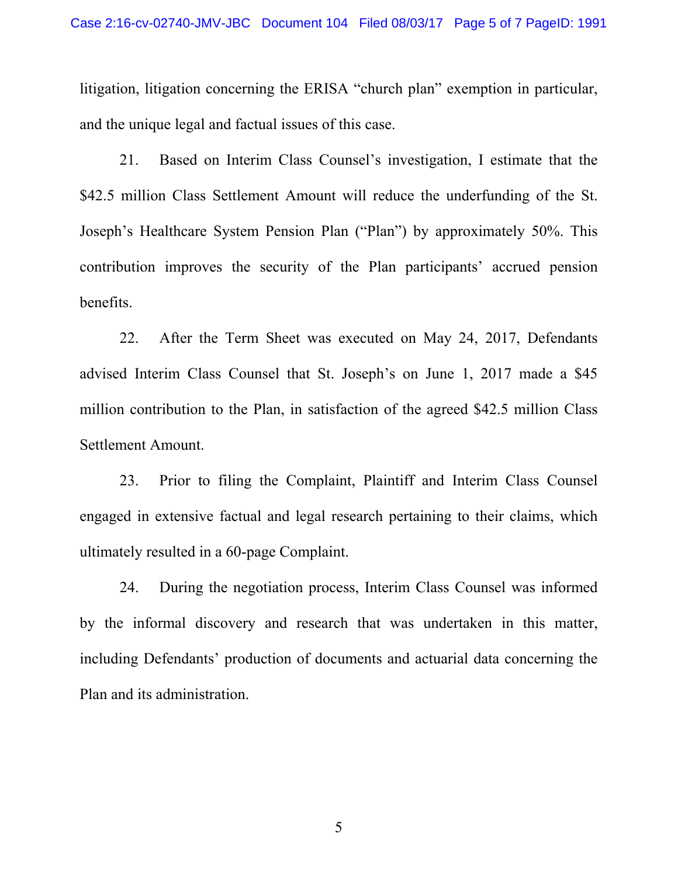litigation, litigation concerning the ERISA "church plan" exemption in particular, and the unique legal and factual issues of this case.

21. Based on Interim Class Counsel's investigation, I estimate that the \$42.5 million Class Settlement Amount will reduce the underfunding of the St. Joseph's Healthcare System Pension Plan ("Plan") by approximately 50%. This contribution improves the security of the Plan participants' accrued pension benefits.

22. After the Term Sheet was executed on May 24, 2017, Defendants advised Interim Class Counsel that St. Joseph's on June 1, 2017 made a \$45 million contribution to the Plan, in satisfaction of the agreed \$42.5 million Class Settlement Amount.

23. Prior to filing the Complaint, Plaintiff and Interim Class Counsel engaged in extensive factual and legal research pertaining to their claims, which ultimately resulted in a 60-page Complaint.

24. During the negotiation process, Interim Class Counsel was informed by the informal discovery and research that was undertaken in this matter, including Defendants' production of documents and actuarial data concerning the Plan and its administration.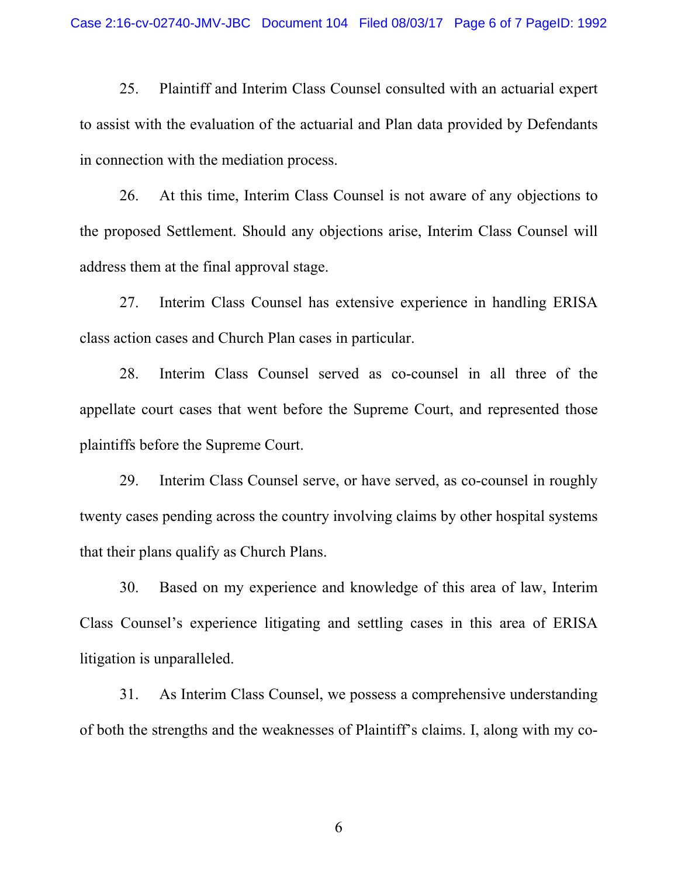25. Plaintiff and Interim Class Counsel consulted with an actuarial expert to assist with the evaluation of the actuarial and Plan data provided by Defendants in connection with the mediation process.

26. At this time, Interim Class Counsel is not aware of any objections to the proposed Settlement. Should any objections arise, Interim Class Counsel will address them at the final approval stage.

27. Interim Class Counsel has extensive experience in handling ERISA class action cases and Church Plan cases in particular.

28. Interim Class Counsel served as co-counsel in all three of the appellate court cases that went before the Supreme Court, and represented those plaintiffs before the Supreme Court.

29. Interim Class Counsel serve, or have served, as co-counsel in roughly twenty cases pending across the country involving claims by other hospital systems that their plans qualify as Church Plans.

30. Based on my experience and knowledge of this area of law, Interim Class Counsel's experience litigating and settling cases in this area of ERISA litigation is unparalleled.

31. As Interim Class Counsel, we possess a comprehensive understanding of both the strengths and the weaknesses of Plaintiff's claims. I, along with my co-